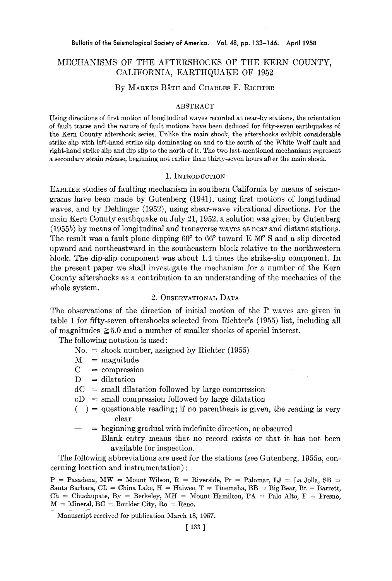# MECHANISMS OF THE AFTERSHOCKS OF THE KERN COUNTY, CALIFORNIA, EARTHQUAKE OF 1952

## By MARKUS BÅTH and CHARLES F. RICHTER

### ABSTRACT

Using directions of first motion of longitudinal waves recorded at near-by stations, the orientation of fault traces and the nature of fault motions have been deduced for fifty-seven earthquakes of the Kern County aftershock series. Unlike the main shock, the aftershoeks exhibit considerable strike slip with left-hand strike slip dominating on and to the south of the White Wolf fault and right-hand strike slip and dip slip to the north of it. The two last-mentioned mechanisms represent a secondary strain release, beginning not earlier than thirty-seven hours after the main shock.

### I. INTRODUCTION

EARLIER studies of faulting mechanism in southern California by means of seismograms have been made by Gutenberg (1941), using first motions of longitudinal waves, and by Dehlinger (1952), using shear-wave vibrational directions. For the main Kern County earthquake on July 21, 1952, a solution was given by Gutenberg (1955b) by means of longitudinal and transverse waves at near and distant stations. The result was a fault plane dipping  $60^{\circ}$  to  $66^{\circ}$  toward E  $50^{\circ}$  S and a slip directed upward and northeastward in the southeastern block relative to the northwestern block. The dip-slip component was about 1.4 times the strike-slip component. In the present paper we shall investigate the mechanism for a number of the Kern County aftershocks as a contribution to an understanding of the mechanics of the whole system.

## 2. OBSERVATIONAL DATA

The observations of the direction of initial motion of the P waves are given in table 1 for fifty-seven aftershocks selected from Richter's (1955) list, including all of magnitudes  $\geq 5.0$  and a number of smaller shocks of special interest.

The following notation is used :

- $No. = shock number, assigned by Richter (1955)$
- $M =$  magnitude
- $C =$  compression
- $D = dilatation$
- $dC =$  small dilatation followed by large compression
- $cD = small$  compression followed by large dilatation
- $($ ) = questionable reading; if no parenthesis is given, the reading is very clear
- beginning gradual with indefinite direction, or obscured Blank entry means that no record exists or that it has not been

available for inspection.

The following abbreviations are used for the stations (see Gutenberg, 1955a, concerning location and instrumentation) :

 $P =$  Pasadena, MW = Mount Wilson, R = Riverside, Pr = Palomar, LJ = La Jolla, SB = Santa Barbara, CL = China Lake,  $H =$  Haiwee,  $T =$  Tinemaha, BB = Big Bear, Bt = Barrett,  $Ch = Chuchupate, By = Berkeley, MH = Mount Hamilton, PA = Palo Alto, F = Fresno,$  $M =$  Mineral,  $BC =$  Boulder City,  $Ro =$  Reno.

Manuscript received for publication March 18, 1957.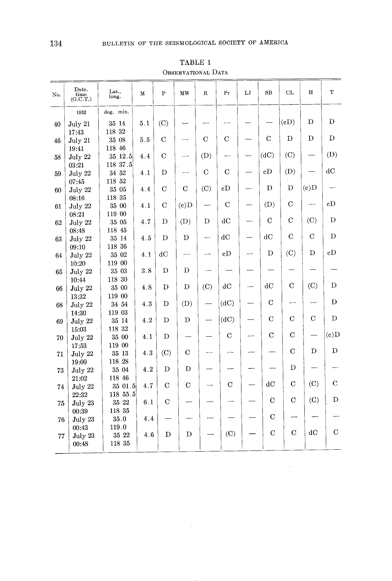| No.    | Date.<br>$\overline{\text{time}}$<br>(G.C.T.) | Lat.,<br>long.  | $\mathbf M$ | $\overline{P}$ | MW          | $\mathbf R$ | Pr            | LJ | SB             | CL                       | $\mathbf H$              | T              |
|--------|-----------------------------------------------|-----------------|-------------|----------------|-------------|-------------|---------------|----|----------------|--------------------------|--------------------------|----------------|
|        | 1952                                          | deg. min.       |             |                |             |             |               |    |                |                          |                          |                |
|        |                                               | 35 14           | $5.1\,$     | (C)            |             |             |               |    |                | (cD)                     | D                        | D              |
| 40     | July 21<br>17:43                              | 118 32          |             |                |             |             |               |    |                |                          |                          |                |
| 46     | July 21                                       | 35 08           | 5.5         | $\mathcal{C}$  |             | $\mathbf C$ | $\mathcal{C}$ |    | $\mathbf C$    | D                        | D                        | D              |
|        | 19:41                                         | 118 46          |             |                |             |             |               |    |                |                          |                          |                |
| 58     | July 22                                       | 35 12.5         | 4.4         | $\mathcal{C}$  |             | (D)         |               |    | (dC)           | (C)                      |                          | (D)            |
|        | 03:21                                         | 118 37.5        |             |                |             |             |               |    |                |                          |                          |                |
| 59     | July 22                                       | 34 52           | 4.1         | D              |             | $\mathbf C$ | $\mathbf C$   |    | cD             | (D)                      |                          | dC             |
|        | 07:45                                         | 118 52          |             |                |             |             |               |    |                |                          |                          |                |
| 60     | July 22                                       | 35 05           | 4.4         | $\mathcal{C}$  | $\mathbf C$ | (C)         | cD            |    | D              | D                        | (c)D                     |                |
|        | 08:16                                         | 118 35          |             |                |             |             |               |    |                |                          |                          |                |
| 61     | July 22                                       | 35 00           | 4.1         | $\mathbf C$    | (c)D        |             | $\mathbf C$   |    | (D)            | $\mathbf C$              |                          | cD             |
|        | 08:21                                         | 119 00          |             |                |             |             |               |    |                |                          |                          |                |
| 62     | July 22                                       | 35 05           | 4.7         | D              | (D)         | D           | dC            |    | $\mathbf C$    | $\mathbf C$              | (C)                      | D              |
|        | 08:48                                         | 118 45          |             |                |             |             |               |    |                |                          |                          |                |
| 63     | July 22                                       | 35 14           | 4.5         | D              | D           |             | dC            |    | dC             | $\mathbf C$              | $\rm C$                  | D              |
|        | 09:10                                         | 118 36          |             |                |             |             |               |    |                |                          | D                        | cD             |
| 64     | July 22                                       | 35 02           | 4.1         | dC             |             |             | cD            |    | D              | (C)                      |                          |                |
|        | 10:20                                         | 119 00          |             |                |             |             |               |    |                |                          |                          |                |
| 65     | July 22                                       | 35 03           | 3.8         | D              | D           |             |               |    |                |                          |                          |                |
|        | 10:44                                         | $118\,$ $30$    |             | D              | D           | (C)         | dC            |    | dC             | $\mathbf C$              | (C)                      | D              |
| 66     | July 22                                       | 35 00           | 4.8         |                |             |             |               |    |                |                          |                          |                |
|        | 13:32                                         | 119 00          |             | D              | (D)         |             | (dC)          |    | $\rm C$        | $\overline{\phantom{a}}$ | $\overline{\phantom{a}}$ | D              |
| 68     | July 22                                       | 34 54           | $4.3\,$     |                |             |             |               |    |                |                          |                          |                |
|        | 14:30                                         | 119 03<br>35 14 | $4.2\,$     | D              | D           |             | (dC)          |    | $\mathbf C$    | $\mathbf C$              | $\mathbf C$              | D              |
| 69     | July 22<br>15:03                              | 118 32          |             |                |             |             |               |    |                |                          |                          |                |
| 70     | July 22                                       | 35 00           | 4.1         | D              |             |             | $\rm C$       |    | $\mathcal{C}$  | $\mathbf C$              |                          | (e)D           |
|        | 17:53                                         | 119 00          |             |                |             |             |               |    |                |                          |                          |                |
| 71     | July 22                                       | 35 13           | 4.3         | (C)            | $\mathbf C$ |             |               |    |                | $\mathbf C$              | Ď                        | D              |
|        | 19:09                                         | 118 28          |             |                |             |             |               |    |                |                          |                          |                |
| 73     | July 22                                       | 35 04           | 4.2         | D              | D           |             |               |    |                | D                        | —                        |                |
|        | 21:02                                         | 118 46          |             |                |             |             |               |    |                |                          |                          |                |
| 74     | July 22                                       | 35 01 5         | 4.7         | $\rm C$        | $\mathbf C$ |             | $\mathbf C$   |    | dC             | С                        | (C)                      | $\mathbf C$    |
|        | 22:32                                         | 118 55.5        |             |                |             |             |               |    |                |                          |                          |                |
| 75     | July 23                                       | 35 22           | 6.1         | $\overline{C}$ |             |             |               |    | $\overline{C}$ | $\rm C$                  | (C)                      | D              |
|        | 00:39                                         | 118 35          |             |                |             |             |               |    |                |                          |                          |                |
| 76     | July 23                                       | 35.0            | 4.4         |                |             |             |               |    | $\mathbf C$    |                          |                          |                |
|        | 00:43                                         | 119.0           |             |                |             |             |               |    | $\mathcal{C}$  | $\overline{C}$           | dC                       | $\overline{C}$ |
| $77\,$ | July 23                                       | 35 22           | 4.6         | $\mathbf D$    | D           |             | (C)           |    |                |                          |                          |                |
|        | 00:48                                         | 118 35          |             |                |             |             |               |    |                |                          |                          |                |
|        |                                               |                 |             |                |             |             |               |    |                |                          |                          |                |

 $\sim$ 

TABLE 1 OBSERVATIONAL DATA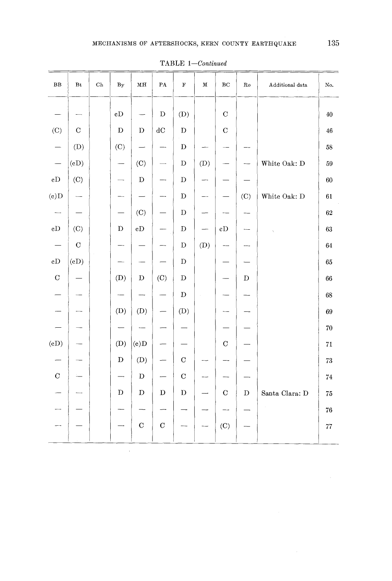|                         |                        |             |                          |                          |                          | *******     | $\circ$ $\circ$ $\circ$ $\circ$ $\circ$ $\circ$ $\circ$ |                          |             |                      |            |
|-------------------------|------------------------|-------------|--------------------------|--------------------------|--------------------------|-------------|---------------------------------------------------------|--------------------------|-------------|----------------------|------------|
| $_{\rm BB}$             | $\mathbf{B}\mathbf{t}$ | $_{\rm Ch}$ | $\mathbf{B}\mathbf{y}$   | $\mathbf{H}\mathbf{M}$   | $\mathbf{P}\mathbf{A}$   | $\mathbf F$ | $\mathbf M$                                             | $_{\rm BC}$              | ${\rm Ro}$  | Additional data      | No.        |
|                         |                        |             | $\mathbf{c}\mathbf{D}$   |                          | $\mathbf D$              | (D)         |                                                         | $\mathbf C$              |             |                      | $40\,$     |
| (C)                     | $\mathbf C$            |             | $\mathbf D$              | $\mathbf D$              | $\rm dC$                 | $\mathbf D$ |                                                         | $\overline{C}$           |             |                      | 46         |
|                         | (D)                    |             | (C)                      | $\overline{\phantom{0}}$ |                          | $\mathbf D$ |                                                         |                          |             |                      | $58\,$     |
|                         | (cD)                   |             |                          | (C)                      | $\overline{\phantom{0}}$ | $\mathbf D$ | (D)                                                     |                          |             | White Oak: D         | 59         |
| $_{\rm cD}$             | (C)                    |             | $\overline{\phantom{0}}$ | $\mathbf D$              | — <b>.</b>               | D           | ---                                                     |                          |             |                      | 60         |
| (c)D                    |                        |             | $\overline{\phantom{0}}$ |                          | --                       | $\mathbf D$ |                                                         |                          | (C)         | White Oak: ${\bf D}$ | 61         |
|                         |                        |             | $\overline{\phantom{0}}$ | (C)                      |                          | $\mathbf D$ |                                                         | $\overline{\phantom{0}}$ |             |                      | $62\,$     |
| $\rm{eD}$               | (C)                    |             | D                        | $\rm{c}D$                |                          | $\mathbf D$ | $\overline{\phantom{0}}$                                | $\rm cD$                 |             |                      | 63         |
| $\qquad \qquad -$       | $\mathbf C$            |             | —                        |                          | ---                      | $\mathbf D$ | (D)                                                     | $-\cdots$                |             |                      | $64\,$     |
| $\rm{cD}$               | (cD)                   |             |                          |                          |                          | $\mathbf D$ |                                                         |                          |             |                      | 65         |
| $\mathbf C$             |                        |             | (D)                      | $\mathbf D$              | (C)                      | $\mathbf D$ |                                                         | $\overline{\phantom{0}}$ | D           |                      | 66         |
|                         |                        |             | --                       |                          | $\overline{\phantom{0}}$ | $\mathbf D$ | ÷                                                       | $\overline{\phantom{0}}$ |             |                      | 68         |
|                         |                        |             | (D)                      | (D)                      | $\overline{\phantom{0}}$ | (D)         |                                                         |                          |             |                      | 69         |
|                         |                        |             |                          |                          |                          |             |                                                         |                          |             |                      | 70         |
| (cD)                    |                        |             | (D)                      | (c)D                     |                          |             |                                                         | $\mathbf C$              |             |                      | $71\,$     |
|                         |                        |             | D                        | (D)                      | $\overline{\phantom{0}}$ | $\mathbf C$ |                                                         | —⊶                       |             |                      | 73         |
| $\overline{\mathrm{C}}$ |                        |             | $\rightarrow$            | $\mathbf D$              | $\overline{\phantom{m}}$ | $\mathbf C$ |                                                         | --                       | —-          |                      | $74\,$     |
|                         |                        |             | D                        | $\mathbf D$              | $\mathbf D$              | $\mathbf D$ |                                                         | $\mathbf C$              | $\mathbf D$ | Santa Clara: D       | $75\,$     |
|                         |                        |             |                          | $\overline{\phantom{0}}$ | --                       |             |                                                         | $\overline{\phantom{0}}$ |             |                      | ${\bf 76}$ |
|                         |                        |             |                          | $\mathbf C$              | $\mathbf C$              |             |                                                         | $(\mathbf{C})$           |             |                      | $77\,$     |
|                         |                        |             |                          |                          |                          |             |                                                         |                          |             |                      |            |

 $\mathcal{L}^{\text{max}}_{\text{max}}$ 

TABLE *1--Continued*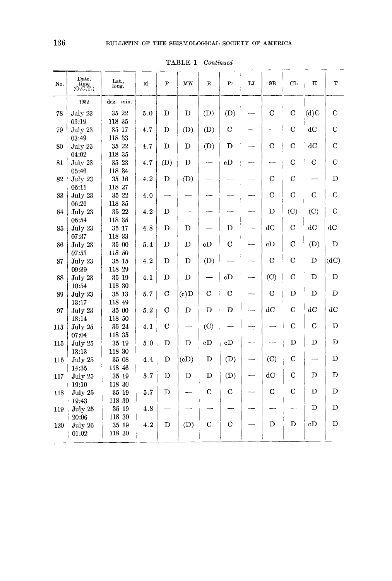| Date.<br>time<br>(G.C.T.) | Lat.<br>long.                                                                                                                                                                                                                                         | ${\bf M}$                                                                                                                                                                                                                                      | P                                                                                    | MW                                                               | $\mathbf R$                                 | Pr                                               | LJ                                                                               | $_{\rm SB}$    | CL                                                                       | н                                                                                                                                                                    | т                                                                             |
|---------------------------|-------------------------------------------------------------------------------------------------------------------------------------------------------------------------------------------------------------------------------------------------------|------------------------------------------------------------------------------------------------------------------------------------------------------------------------------------------------------------------------------------------------|--------------------------------------------------------------------------------------|------------------------------------------------------------------|---------------------------------------------|--------------------------------------------------|----------------------------------------------------------------------------------|----------------|--------------------------------------------------------------------------|----------------------------------------------------------------------------------------------------------------------------------------------------------------------|-------------------------------------------------------------------------------|
| 1952                      | deg. min.                                                                                                                                                                                                                                             |                                                                                                                                                                                                                                                |                                                                                      |                                                                  |                                             |                                                  |                                                                                  |                |                                                                          |                                                                                                                                                                      |                                                                               |
| July 23                   | 35 22                                                                                                                                                                                                                                                 | 5.0                                                                                                                                                                                                                                            | D                                                                                    | D                                                                | (D)                                         | (D)                                              |                                                                                  | $\overline{C}$ | $\overline{C}$                                                           | (d)C                                                                                                                                                                 | $\mathbf C$                                                                   |
| July 23                   | 35 17                                                                                                                                                                                                                                                 | 4.7                                                                                                                                                                                                                                            | D                                                                                    | (D)                                                              | (D)                                         | $\mathcal{C}$                                    |                                                                                  |                | $\overline{C}$                                                           | dC                                                                                                                                                                   | C                                                                             |
| 03:49                     | 35 22                                                                                                                                                                                                                                                 |                                                                                                                                                                                                                                                | D                                                                                    | D                                                                |                                             | D                                                |                                                                                  | $\rm C$        | С                                                                        | dС                                                                                                                                                                   | C                                                                             |
| 04:02                     | 118 35                                                                                                                                                                                                                                                |                                                                                                                                                                                                                                                |                                                                                      |                                                                  |                                             |                                                  |                                                                                  |                |                                                                          |                                                                                                                                                                      |                                                                               |
| July 23                   | 35 23                                                                                                                                                                                                                                                 | 4.7                                                                                                                                                                                                                                            | (D)                                                                                  | D                                                                |                                             | $\rm{c}D$                                        |                                                                                  |                |                                                                          | $\overline{C}$                                                                                                                                                       | $\bf C$                                                                       |
| 05:46                     | 118 34                                                                                                                                                                                                                                                |                                                                                                                                                                                                                                                |                                                                                      |                                                                  |                                             |                                                  |                                                                                  |                |                                                                          |                                                                                                                                                                      |                                                                               |
| July 23                   |                                                                                                                                                                                                                                                       | 4.2                                                                                                                                                                                                                                            | D                                                                                    |                                                                  |                                             |                                                  |                                                                                  |                |                                                                          |                                                                                                                                                                      | D                                                                             |
|                           |                                                                                                                                                                                                                                                       |                                                                                                                                                                                                                                                |                                                                                      |                                                                  |                                             |                                                  |                                                                                  |                |                                                                          |                                                                                                                                                                      |                                                                               |
|                           |                                                                                                                                                                                                                                                       |                                                                                                                                                                                                                                                |                                                                                      |                                                                  |                                             |                                                  |                                                                                  |                |                                                                          |                                                                                                                                                                      | $\mathbf C$                                                                   |
|                           |                                                                                                                                                                                                                                                       |                                                                                                                                                                                                                                                |                                                                                      |                                                                  |                                             |                                                  |                                                                                  |                |                                                                          |                                                                                                                                                                      |                                                                               |
|                           |                                                                                                                                                                                                                                                       |                                                                                                                                                                                                                                                |                                                                                      |                                                                  |                                             |                                                  |                                                                                  |                |                                                                          |                                                                                                                                                                      | C                                                                             |
|                           |                                                                                                                                                                                                                                                       |                                                                                                                                                                                                                                                |                                                                                      |                                                                  |                                             |                                                  |                                                                                  |                |                                                                          |                                                                                                                                                                      |                                                                               |
|                           |                                                                                                                                                                                                                                                       |                                                                                                                                                                                                                                                |                                                                                      |                                                                  |                                             |                                                  |                                                                                  |                |                                                                          |                                                                                                                                                                      | $d{\bf C}$                                                                    |
|                           |                                                                                                                                                                                                                                                       |                                                                                                                                                                                                                                                |                                                                                      |                                                                  |                                             |                                                  |                                                                                  |                |                                                                          |                                                                                                                                                                      | D                                                                             |
|                           |                                                                                                                                                                                                                                                       |                                                                                                                                                                                                                                                |                                                                                      |                                                                  |                                             |                                                  |                                                                                  |                |                                                                          |                                                                                                                                                                      |                                                                               |
|                           |                                                                                                                                                                                                                                                       |                                                                                                                                                                                                                                                |                                                                                      |                                                                  |                                             |                                                  |                                                                                  |                |                                                                          |                                                                                                                                                                      | (dC)                                                                          |
|                           |                                                                                                                                                                                                                                                       |                                                                                                                                                                                                                                                |                                                                                      |                                                                  |                                             |                                                  |                                                                                  |                |                                                                          |                                                                                                                                                                      |                                                                               |
|                           |                                                                                                                                                                                                                                                       |                                                                                                                                                                                                                                                |                                                                                      |                                                                  |                                             |                                                  |                                                                                  |                |                                                                          |                                                                                                                                                                      | D                                                                             |
|                           |                                                                                                                                                                                                                                                       |                                                                                                                                                                                                                                                |                                                                                      |                                                                  |                                             |                                                  |                                                                                  |                |                                                                          |                                                                                                                                                                      |                                                                               |
|                           |                                                                                                                                                                                                                                                       |                                                                                                                                                                                                                                                |                                                                                      |                                                                  |                                             |                                                  |                                                                                  |                |                                                                          |                                                                                                                                                                      | D                                                                             |
|                           |                                                                                                                                                                                                                                                       |                                                                                                                                                                                                                                                |                                                                                      |                                                                  |                                             |                                                  |                                                                                  |                |                                                                          |                                                                                                                                                                      |                                                                               |
|                           |                                                                                                                                                                                                                                                       |                                                                                                                                                                                                                                                |                                                                                      |                                                                  |                                             |                                                  |                                                                                  |                |                                                                          |                                                                                                                                                                      | dC                                                                            |
|                           |                                                                                                                                                                                                                                                       |                                                                                                                                                                                                                                                |                                                                                      |                                                                  |                                             |                                                  |                                                                                  |                |                                                                          |                                                                                                                                                                      |                                                                               |
|                           |                                                                                                                                                                                                                                                       |                                                                                                                                                                                                                                                |                                                                                      |                                                                  |                                             |                                                  |                                                                                  |                | $\mathbf C$                                                              | $\mathbf C$                                                                                                                                                          | D                                                                             |
|                           |                                                                                                                                                                                                                                                       |                                                                                                                                                                                                                                                |                                                                                      |                                                                  |                                             |                                                  |                                                                                  |                |                                                                          |                                                                                                                                                                      |                                                                               |
|                           | 35 19                                                                                                                                                                                                                                                 | 5.0                                                                                                                                                                                                                                            | D                                                                                    | D                                                                | cD                                          | cD                                               |                                                                                  |                | D                                                                        | $\mathbf{D}$                                                                                                                                                         | $\overline{D}$                                                                |
| 13:13                     | 118 30                                                                                                                                                                                                                                                |                                                                                                                                                                                                                                                |                                                                                      |                                                                  |                                             |                                                  |                                                                                  |                |                                                                          |                                                                                                                                                                      |                                                                               |
| July 25                   | 35 08                                                                                                                                                                                                                                                 | 4.4                                                                                                                                                                                                                                            | D                                                                                    | (cD)                                                             | D                                           | (D)                                              |                                                                                  | (C)            | $\mathbf C$                                                              |                                                                                                                                                                      | D                                                                             |
| 14:35                     | 118 46                                                                                                                                                                                                                                                |                                                                                                                                                                                                                                                |                                                                                      |                                                                  |                                             |                                                  |                                                                                  |                |                                                                          |                                                                                                                                                                      |                                                                               |
| July 25                   | 35 19                                                                                                                                                                                                                                                 | 5.7                                                                                                                                                                                                                                            | D                                                                                    | D                                                                | D                                           | (D)                                              |                                                                                  | dC             | $\mathbf C$                                                              | D                                                                                                                                                                    | D                                                                             |
| 19:10                     | 118 30                                                                                                                                                                                                                                                |                                                                                                                                                                                                                                                |                                                                                      |                                                                  |                                             |                                                  |                                                                                  |                |                                                                          |                                                                                                                                                                      |                                                                               |
| July 25                   | 35 19                                                                                                                                                                                                                                                 |                                                                                                                                                                                                                                                | D                                                                                    |                                                                  | $\mathbf C$                                 |                                                  |                                                                                  |                |                                                                          |                                                                                                                                                                      | D                                                                             |
| 19:43                     | 118 30                                                                                                                                                                                                                                                |                                                                                                                                                                                                                                                |                                                                                      |                                                                  |                                             |                                                  |                                                                                  |                |                                                                          |                                                                                                                                                                      |                                                                               |
| July 25                   | 35 19                                                                                                                                                                                                                                                 | 4.8                                                                                                                                                                                                                                            |                                                                                      |                                                                  |                                             |                                                  |                                                                                  |                |                                                                          |                                                                                                                                                                      | D                                                                             |
|                           |                                                                                                                                                                                                                                                       |                                                                                                                                                                                                                                                |                                                                                      |                                                                  |                                             |                                                  |                                                                                  |                |                                                                          |                                                                                                                                                                      |                                                                               |
|                           |                                                                                                                                                                                                                                                       |                                                                                                                                                                                                                                                |                                                                                      |                                                                  |                                             |                                                  |                                                                                  |                |                                                                          |                                                                                                                                                                      | D                                                                             |
|                           |                                                                                                                                                                                                                                                       |                                                                                                                                                                                                                                                |                                                                                      |                                                                  |                                             |                                                  |                                                                                  |                |                                                                          |                                                                                                                                                                      |                                                                               |
|                           | 03:19<br>July 23<br>06:11<br>July 23<br>06:26<br>July 23<br>06:54<br>July 23<br>07:37<br>July 23<br>07:53<br>July 23<br>09:39<br>July 23<br>10:54<br>July 23<br>13:17<br>July 23<br>18:14<br>July 25<br>07:04<br>July 25<br>20:06<br>July 26<br>01:02 | 118 35<br>118 33<br>35 16<br>118 27<br>35 22<br>118 35<br>35 22<br>118 35<br>35 17<br>118 33<br>35 00<br>118 50<br>35 15<br>118 29<br>35 19<br>118 30<br>$35\,13$<br>118 49<br>35 00<br>118 50<br>35 24<br>118 35<br>118 30<br>35 19<br>118 30 | 4.7<br>4.0<br>4.2<br>4.8<br>5.4<br>4.2<br>4.1<br>5.7<br>$5.2\,$<br>4.1<br>5.7<br>4.2 | D<br>D<br>D<br>D<br>D<br>C<br>$\overline{C}$<br>$\mathbf C$<br>D | (D)<br>D<br>D<br>D<br>D<br>(c)D<br>D<br>(D) | (D)<br>cD<br>(D)<br>C<br>D<br>(C)<br>$\mathbf C$ | D<br>$\overline{C}$<br>$_{\rm cD}$<br>$\mathbf C$<br>D<br>$\rm C$<br>$\mathbf C$ | ┯              | C<br>$\rm C$<br>D<br>dC<br>cD<br>$\mathbf C$<br>(C)<br>C<br>dC<br>C<br>D | $\overline{C}$<br>$\overline{C}$<br>$\overline{C}$<br>(C)<br>$\mathbf C$<br>$\overline{C}$<br>$\mathbf C$<br>$\mathcal{C}$<br>D<br>$\mathcal{C}$<br>$\mathbf C$<br>D | $\mathbf C$<br>(C)<br>$_{\rm dC}$<br>(D)<br>D<br>D<br>D<br>dC<br>D<br>D<br>cD |

TABLE *1--Continued*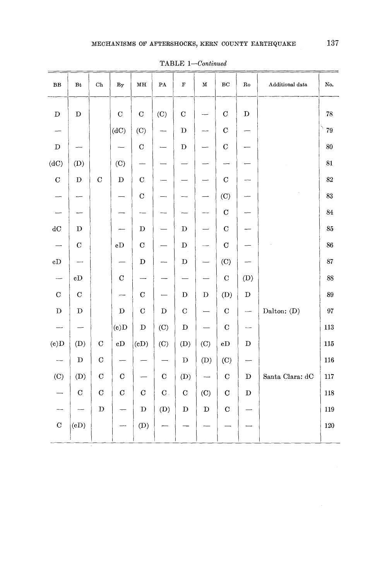| ${\bf BB}$               | $_{\rm Bt}$              | $\rm Ch$       | $_{\rm By}$            | MН                       | ${\bf PA}$                        | $\mathbf F$             | М                        | BC             | $\mathbf{Ro}$            | Additional data | No.     |
|--------------------------|--------------------------|----------------|------------------------|--------------------------|-----------------------------------|-------------------------|--------------------------|----------------|--------------------------|-----------------|---------|
| $\mathbf D$              | ${\bf D}$                |                | $\mathbf C$            | $\mathbf C$              | (C)                               | $\mathbf C$             |                          | $\mathcal{C}$  | $\mathbf D$              |                 | 78      |
|                          |                          |                | (dC)                   | (C)                      | ---                               | $\mathbf D$             | --                       | $\mathbf C$    |                          |                 | Ņ<br>79 |
| $\mathbf D$              |                          |                |                        | $\mathbf C$              |                                   | D                       | —                        | $\overline{C}$ |                          |                 | 80      |
| (dC)                     | (D)                      |                | (C)                    | ÷                        |                                   |                         |                          |                |                          |                 | 81      |
| $\mathbf C$              | $\mathbf D$              | $\mathcal{C}$  | $\mathbf D$            | $\mathbf C$              |                                   |                         | --                       | $\mathbf C$    |                          |                 | 82      |
| -                        |                          |                |                        | $\mathbf C$              |                                   |                         |                          | (C)            |                          |                 | 83      |
|                          |                          |                |                        |                          |                                   |                         | —⊶                       | $\mathbf C$    |                          |                 | $84\,$  |
| $\mathrm{d}\mathrm{C}$   | D                        |                |                        | $\mathbf D$              |                                   | D                       |                          | $\mathbf C$    |                          |                 | 85      |
| $\overline{\phantom{a}}$ | $\mathbf C$              |                | cD                     | $\mathbf C$              |                                   | D                       |                          | $\mathbf C$    |                          |                 | 86      |
| cD                       | $\overline{\phantom{a}}$ |                |                        | $\mathbf D$              |                                   | $\mathbf D$             | ÷                        | (C)            |                          |                 | 87      |
| $\overline{\phantom{a}}$ | $\rm{c}D$                |                | $\mathbf C$            |                          |                                   |                         |                          | $\overline{C}$ | (D)                      |                 | 88      |
| $\mathbf C$              | $\mathbf C$              |                | ---                    | $\mathbf C$              | $\overbrace{\phantom{123221111}}$ | D                       | $\mathbf D$              | (D)            | $\mathbf D$              |                 | 89      |
| $\mathbf{D}%$            | $\mathbf D$              |                | $\mathbf D$            | $\mathbf C$              | $\mathbf D$                       | $\mathbf C$             |                          | $\mathbf C$    | $\overline{\phantom{a}}$ | Dalton: (D)     | $97\,$  |
| $\overline{\phantom{a}}$ | $\overline{\phantom{0}}$ |                | (c)D                   | $\mathbf D$              | (C)                               | $\mathbf D$             |                          | $\mathbf C$    | $\overline{\phantom{0}}$ |                 | 113     |
| (c)D                     | (D)                      | $\overline{C}$ | $\mathbf{c}\mathbf{D}$ | (cD)                     | (C)                               | (D)                     | (C)                      | cD             | $\mathbf D$              |                 | 115     |
| $\overline{\phantom{m}}$ | $\mathbf D$              | $\mathbf C$    |                        |                          |                                   | $\mathbf D$             | (D)                      | (C)            | $\overline{\phantom{0}}$ |                 | 116     |
| (C)                      | (D)                      | $\mathbf C$    | $\mathbf C$            | $\overline{\phantom{0}}$ | $\mathbf C$                       | (D)                     | $\overline{\phantom{0}}$ | $\mathbf C$    | $\mathbf D$              | Santa Clara: dC | 117     |
|                          | $\mathbf C$              | $\mathbf C$    | $\cal C$               | $\mathbf C$              | ${\bf C}$ .                       | $\mathbf C$             | (C)                      | $\mathbf C$    | $\mathbf D$              |                 | 118     |
|                          | $\overline{\phantom{a}}$ | $\mathbf D$    |                        | $\mathbf D$              | (D)                               | $\overline{\mathbf{D}}$ | $\mathbf D$              | $\mathbf C$    |                          |                 | 119     |
| $\mathbf C$              | (cD)                     |                |                        | (D)                      |                                   |                         |                          |                |                          |                 | 120     |
|                          |                          |                |                        |                          |                                   |                         |                          |                |                          |                 |         |

TABLE *1--Continued*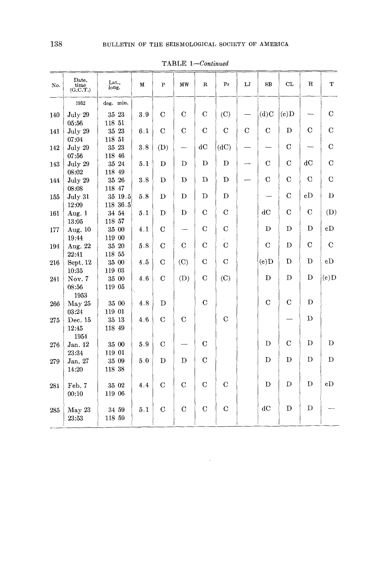| No. | Date.<br>time<br>(G.C.T.) | Lat.,<br>long.        | М   | $\mathbf{P}$   | MW            | R             | Pr             | LJ          | SB                       | <b>CL</b>     | H           | T              |
|-----|---------------------------|-----------------------|-----|----------------|---------------|---------------|----------------|-------------|--------------------------|---------------|-------------|----------------|
|     | 1952                      | deg. min.             |     |                |               |               |                |             |                          |               |             |                |
| 140 | July 29<br>05:56          | 35 23<br>118 51       | 3.9 | $\mathbf C$    | $\mathbf C$   | $\mathbf C$   | (C)            |             | (d)C                     | (c)D          |             | $\mathbf C$    |
| 141 | July 29<br>07:04          | 35 23<br>118 51       | 6.1 | $\overline{C}$ | $\mathbf C$   | $\mathbf C$   | $\mathbf C$    | $\mathbf C$ | $\mathbf C$              | D             | $\rm C$     | $\mathbf C$    |
| 142 | July 29<br>07:56          | $35\,$ $23$<br>118 46 | 3.8 | (D)            |               | dC            | (dC)           |             | $\overline{\phantom{0}}$ | $\mathcal{C}$ |             | $\mathbf C$    |
| 143 | July 29<br>08:02          | 35 24<br>118 49       | 5.1 | D              | D             | D             | D              |             | $\mathbf C$              | $\mathbf C$   | dC          | $\mathbf C$    |
| 144 | July 29<br>08:08          | $35\,$ $26$<br>118 47 | 3.8 | D              | D             | D             | D              |             | $\overline{C}$           | $\mathbf C$   | $\mathbf C$ | $\overline{C}$ |
| 155 | July 31<br>12:09          | 35 19.5<br>118 36.5   | 5.8 | D              | D             | D             | D              |             |                          | $\mathcal{C}$ | cD          | D              |
| 161 | Aug. 1<br>13:05           | 34 54<br>118 57       | 5.1 | D              | D             | $\mathbf C$   | $\mathbf C$    |             | dC                       | $\mathbf C$   | $\mathbf C$ | (D)            |
| 177 | Aug. 10<br>19:44          | 35 00<br>119 00       | 4.1 | $\rm C$        |               | $\mathbf C$   | $\mathbf C$    |             | D                        | D             | D           | cD             |
| 194 | Aug. 22<br>22:41          | 35 20<br>118 55       | 5.8 | $\mathbf C$    | $\mathbf C$   | $\mathbf C$   | C              |             | C                        | D             | $\mathbf C$ | $\mathbf C$    |
| 216 | Sept. 12<br>10:35         | $35\ 00$<br>119 03    | 4.5 | $\mathbf C$    | (C)           | С             | $\overline{C}$ |             | $\mathbf{c}$             | D             | D           | cD             |
| 241 | Nov. 7<br>08:56<br>1953   | 35 00<br>119 05       | 4.6 | $\mathbf C$    | (D)           | $\mathbf C$   | (C)            |             | D                        | D             | D           | $(e)$ D        |
| 266 | May 25<br>03:24           | 35 00<br>119 01       | 4.8 | D              |               | Ċ             |                |             | $\overline{C}$           | $\mathbf C$   | D           |                |
| 275 | Dec. 15<br>12:45<br>1954  | 35 13<br>118 49       | 4.6 | $\mathbf C$    | $\mathbf C$   |               | $\mathbf C$    |             |                          |               | D           |                |
| 276 | Jan, 12<br>23:34          | 35 00<br>119 01       | 5.9 | $\rm C$        |               | $\mathbf C$   |                |             | D                        | C             | D           | D              |
| 279 | Jan. 27<br>14:20          | 35 09<br>118 38       | 5.0 | Đ              | D             | $\mathcal{C}$ |                |             | D                        | D             | D           | D              |
| 281 | Feb. 7<br>00:10           | 35 02<br>119 06       | 44  | $\mathbf C$    | $\mathbf C$   | $\mathbf C$   | $\mathbf C$    |             | D                        | D             | D           | eD             |
| 285 | May 23<br>23:53           | 34 59<br>118 59       | 5.1 | $\mathbf C$    | $\mathcal{C}$ | $\mathbf C$   | $\mathbf C$    |             | dC                       | D             | D           |                |

 $\sim 10^{-10}$ 

TABLE *1--Continued*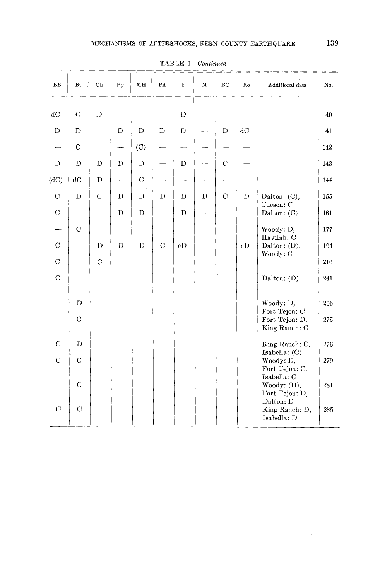| BB            | Bt                     | $\mathrm{Ch}$ | By          | MН          | PA                       | $\mathbf F$ | М | BC          | Ro | Additional data                            | No.     |
|---------------|------------------------|---------------|-------------|-------------|--------------------------|-------------|---|-------------|----|--------------------------------------------|---------|
| dC            | $\mathbf C$            | D             |             |             |                          | D           |   |             |    |                                            | 140     |
| $\mathbf D$   | D                      |               | D           | D           | D                        | D           |   | D           | dC |                                            | 141     |
|               | $\mathbf C$            |               |             | (C)         |                          |             |   |             |    |                                            | 142     |
| D             | $\mathbf D$            | $\mathbf D$   | D           | $\mathbf D$ |                          | D           |   | $\mathbf C$ |    |                                            | 143     |
| (dC)          | $\mathrm{d}\mathbf{C}$ | $\mathbf D$   |             | $\mathbf C$ |                          |             |   |             |    |                                            | 144     |
| $\mathbf C$   | $\mathbf D$            | $\mathbf C$   | D           | D           | $\mathbf D$              | D           | D | $\mathbf C$ | D  | Dalton: (C),                               | 155     |
| $\mathbf C$   |                        |               | $\mathbf D$ | $\mathbf D$ | $\overline{\phantom{0}}$ | $\mathbf D$ |   |             |    | Tueson: C<br>Dalton: (C)                   | 161     |
|               | $\overline{C}$         |               |             |             |                          |             |   |             |    | Woody: D,                                  | 177     |
| $\mathbf C$   |                        | $\mathbf D$   | $\mathbf D$ | $\mathbf D$ | $\mathcal{C}$            | cD          |   |             | cD | Havilah: C<br>Dalton: (D),                 | 194     |
| $\mathbf C$   |                        | $\mathbf C$   |             |             |                          |             |   |             |    | Woody: C                                   | 216     |
| $\mathbf C$   |                        |               |             |             |                          |             |   |             |    | Dalton: (D)                                | 241     |
|               |                        |               |             |             |                          |             |   |             |    |                                            |         |
|               | $\mathbf D$            |               |             |             |                          |             |   |             |    | Woody: D,<br>Fort Tejon: C                 | 266     |
|               | $\mathbf C$            |               |             |             |                          |             |   |             |    | Fort Tejon: D,<br>King Ranch: C            | $275\,$ |
| $\mathcal{C}$ | $\mathbf D$            |               |             |             |                          |             |   |             |    | King Ranch: C,                             | 276     |
| $\mathcal{C}$ | $\mathbf C$            |               |             |             |                          |             |   |             |    | Isabella: (C)<br>Woody: D,                 | 279     |
|               |                        |               |             |             |                          |             |   |             |    | Fort Tejon: C,<br>Isabella: C              |         |
|               | $\mathbf C$            |               |             |             |                          |             |   |             |    | Woody: $(D)$ ,<br>Fort Tejon: D,           | 281     |
| $\mathcal{C}$ | $\mathbf C$            |               |             |             |                          |             |   |             |    | Dalton: D<br>King Ranch: D,<br>Isabella: D | 285     |

TABLE *1--Continued*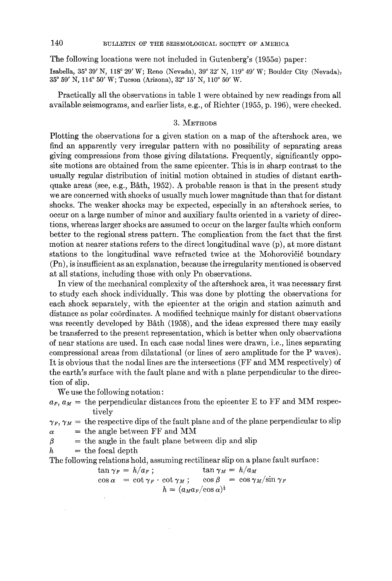140 BULLETIN OF THE SEISMOLOGICAL SOCIETY OF AMERICA

The following locations were not included in Gutenberg's (1955a) paper:

Isabella, 35° 39' N, 118° 29' W; Reno (Nevada), 39° 32' N, 119° 49' W; Boulder City (Nevada), 35° 59' N, 114° 50' W; Tucson (Arizona), 32° 15' N, 110° 50' W.

Practically all the observations in table 1 were obtained by new readings from all available seismograms, and earlier lists, e.g., of Richter (1955, p. 196), were checked.

# 3. METHODS

Plotting the observations for a given station on a map of the aftershock area, we find an apparently very irregular pattern with no possibility of separating areas giving compressions from those giving dilatations. Frequently, significantly opposite motions are obtained from the same epicenter. This is in sharp contrast to the usually regular distribution of initial motion obtained in studies of distant earthquake areas (see, e.g., B $\delta$ th, 1952). A probable reason is that in the present study we are concerned with shocks of usually much lower magnitude than that for distant shocks. The weaker shocks may be expected, especially in an aftershock series, to occur on a large number of minor and auxiliary faults oriented in a variety of directions, whereas larger shocks are assumed to occur on the larger faults which conform better to the regional stress pattern. The complication from the fact that the first motion at nearer stations refers to the direct longitudinal wave (p), at more distant stations to the longitudinal wave refracted twice at the Mohorovičić boundary (Pn), is insufficient as an explanation, because the irregularity mentioned is observed at all stations, including those with only Pn observations.

In view of the mechanical complexity of the aftershock area, it was necessary first to study each shock individually. This was done by plotting the observations for each shock separately, with the epicenter at the origin and station azimuth and distance as polar coordinates. A modified technique mainly for distant observations was recently developed by Båth (1958), and the ideas expressed there may easily be transferred to the present representation, which is better when only observations of near stations are used. In each case nodal lines were drawn, i.e., lines separating eompressional areas from dilatational (or lines of zero amplitude for the P waves). It is obvious that the nodal lines are the intersections (FF and MM respectively) of the earth's surface with the fault plane and with a plane perpendicular to the direction of slip.

We use the following notation:

 $a_F$ ,  $a_M$  = the perpendicular distances from the epicenter E to FF and MM respectively

 $\gamma_F$ ,  $\gamma_M$  = the respective dips of the fault plane and of the plane perpendicular to slip  $\alpha$  = the angle between FF and MM

 $\beta =$  the angle in the fault plane between dip and slip

 $h =$  the focal depth

The following relations hold, assuming rectilinear slip on a plane fault surface:

$$
\tan \gamma_F = h/a_F; \qquad \tan \gamma_M = h/a_M
$$
  
\n
$$
\cos \alpha = \cot \gamma_F \cdot \cot \gamma_M; \qquad \cos \beta = \cos \gamma_M / \sin \gamma_F
$$
  
\n
$$
h = (a_M a_F / \cos \alpha)^{\frac{1}{2}}
$$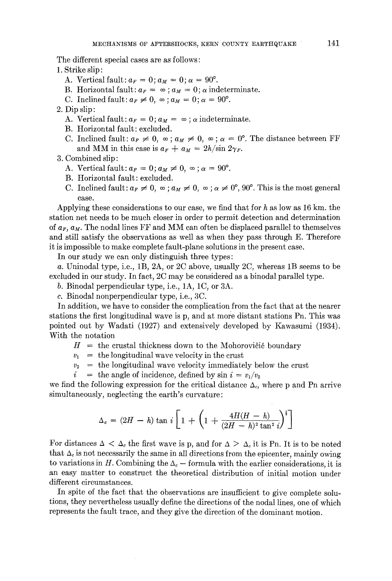The different special cases are as follows:

- 1. Strike slip:
	- A. Vertical fault:  $a_F = 0$ ;  $a_M = 0$ ;  $\alpha = 90^\circ$ .
	- B. Horizontal fault:  $a_F = \infty$ ;  $a_M = 0$ ;  $\alpha$  indeterminate.
	- C. Inclined fault:  $a_F \neq 0$ ,  $\infty$ ;  $a_M = 0$ ;  $\alpha = 90^\circ$ .
- 2. Dip slip :
	- A. Vertical fault:  $a_F = 0$ ;  $a_M = \infty$ ;  $\alpha$  indeterminate.
	- B. Horizontal fault: excluded.
	- C. Inclined fault:  $a_F \neq 0$ ,  $\infty$ ;  $a_M \neq 0$ ,  $\infty$ ;  $\alpha = 0^{\circ}$ . The distance between FF and MM in this case is  $a_F + a_M = 2h/\sin 2\gamma_F$ .
- 3. Combined slip:
	- A. Vertical fault:  $a_F = 0$ ;  $a_M \neq 0$ ,  $\infty$ ;  $\alpha = 90^{\circ}$ .
	- B. Horizontal fault: excluded.
	- C. Inclined fault:  $a_F \neq 0$ ,  $\infty$ ;  $a_M \neq 0$ ,  $\infty$ ;  $\alpha \neq 0^{\circ}$ ,  $90^{\circ}$ . This is the most general ease.

Applying these considerations to our case, we find that for  $h$  as low as 16 km, the station net needs to be much closer in order to permit detection and determination of  $a_F, a_M$ . The nodal lines FF and MM can often be displaced parallel to themselves and still satisfy the observations as well as when they pass through E. Therefore it is impossible to make complete fault-plane solutions in the present case.

In our study we can only distinguish three types:

a. Uninodal type, i.e., 1B, 2A, or 2C above, usually 2C, whereas 1B seems to be excluded in our study. In fact, 2C may be considered as a binodal parallel type.

b. Binodal perpendicular type, i.e., 1A, 1C, or 3A.

c. Binodal nonperpendicular type, i.e., 3C.

In addition, we have to consider the complication from the fact that at the nearer stations the first longitudinal wave is p, and at more distant stations Pn. This was pointed out by Wadati (1927) and extensively developed by Kawasumi (1934). With the notation

 $H =$  the crustal thickness down to the Mohorovičić boundary

- $v_1 =$  the longitudinal wave velocity in the crust
- $v_2$  = the longitudinal wave velocity immediately below the crust
- $i =$  the angle of incidence, defined by  $\sin i = v_1/v_2$

we find the following expression for the critical distance  $\Delta_c$ , where p and Pn arrive simultaneously, neglecting the earth's curvature:

$$
\Delta_c = (2H - h) \tan i \left[ 1 + \left( 1 + \frac{4H(H - h)}{(2H - h)^2 \tan^2 i} \right)^{\frac{1}{2}} \right]
$$

For distances  $\Delta < \Delta_c$  the first wave is p, and for  $\Delta > \Delta_c$  it is Fn. It is to be noted that  $\Delta_c$  is not necessarily the same in all directions from the epicenter, mainly owing to variations in H. Combining the  $\Delta_c$  – formula with the earlier considerations, it is an easy matter to construct the theoretical distribution of initial motion under different circumstances.

In spite of the fact that the observations are insufficient to give complete solutions, they nevertheless usually define the directions of the nodal lines, one of which represents the fault trace, and they give the direction of the dominant motion.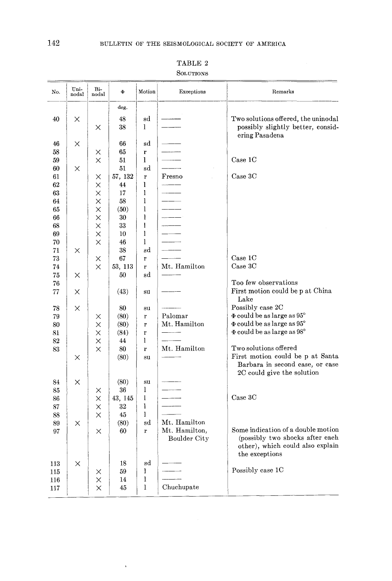| deg.<br>48<br>sd<br>Two solutions offered, the uninodal<br>40<br>×<br>1<br>38<br>×<br>ering Pasadena<br>×<br>66<br>sd<br>46<br>58<br>65<br>r<br>X.<br>Case 1C<br>59<br>51<br>1<br>X<br>51<br>60<br>sd<br>×<br>57, 132<br>Case 3C<br>Fresno<br>$61\,$<br>×<br>$\mathbf{r}$<br>62<br>$\times$<br>44<br>1<br>63<br>1<br>×<br>17<br>1<br>64<br>×<br>58<br>1<br>65<br>×<br>(50)<br>1<br>66<br>×<br>30<br>$\overline{\phantom{a}}$<br>X<br>1<br>68<br>33<br>1<br>69<br>$\times$<br>10<br>70<br>$\times$<br>46<br>1<br>sd<br>71<br>$\times$<br>38<br>Case 1C<br>67<br>73<br>$\times$<br>$\mathbf{r}$<br>Mt. Hamilton<br>Case 3C<br>53, 113<br>74<br>X<br>$\mathbf r$<br>75<br>50<br>sd<br>×<br>Too few observations<br>76<br>77<br>X<br>(43)<br>su<br>Lake<br>Possibly case 2C<br>78<br>×<br>80<br>su<br>$\Phi$ could be as large as $95^\circ$<br>Palomar<br>79<br>(80)<br>$\mathbf r$<br>X<br>$\Phi$ could be as large as $95^\circ$<br>Mt. Hamilton<br>$\times$<br>80<br>(80)<br>${\bf r}$<br>$\Phi$ could be as large as $98^{\circ}$<br>$\times$<br>81<br>(84)<br>$\mathbf{r}$<br>$\times$<br>44<br>1<br>82<br>Two solutions offered<br>$\times$<br>Mt. Hamilton<br>80<br>83<br>r<br>First motion could be p at Santa<br>(80)<br>$\times$<br>su<br>2C could give the solution<br>$\times$<br>(80)<br>84<br>su<br>1<br>36<br>85<br>×<br>Case 3C<br>1<br>X<br>43, 145<br>86<br>I<br>87<br>32<br>× | No. | Uni-<br>nodal | Bi-<br>nodal | Ф | Motion | Exceptions | Remarks                                                             |
|-----------------------------------------------------------------------------------------------------------------------------------------------------------------------------------------------------------------------------------------------------------------------------------------------------------------------------------------------------------------------------------------------------------------------------------------------------------------------------------------------------------------------------------------------------------------------------------------------------------------------------------------------------------------------------------------------------------------------------------------------------------------------------------------------------------------------------------------------------------------------------------------------------------------------------------------------------------------------------------------------------------------------------------------------------------------------------------------------------------------------------------------------------------------------------------------------------------------------------------------------------------------------------------------------------------------------------------------------------------------------------------------------|-----|---------------|--------------|---|--------|------------|---------------------------------------------------------------------|
|                                                                                                                                                                                                                                                                                                                                                                                                                                                                                                                                                                                                                                                                                                                                                                                                                                                                                                                                                                                                                                                                                                                                                                                                                                                                                                                                                                                               |     |               |              |   |        |            |                                                                     |
|                                                                                                                                                                                                                                                                                                                                                                                                                                                                                                                                                                                                                                                                                                                                                                                                                                                                                                                                                                                                                                                                                                                                                                                                                                                                                                                                                                                               |     |               |              |   |        |            |                                                                     |
|                                                                                                                                                                                                                                                                                                                                                                                                                                                                                                                                                                                                                                                                                                                                                                                                                                                                                                                                                                                                                                                                                                                                                                                                                                                                                                                                                                                               |     |               |              |   |        |            | possibly slightly better, consid-                                   |
|                                                                                                                                                                                                                                                                                                                                                                                                                                                                                                                                                                                                                                                                                                                                                                                                                                                                                                                                                                                                                                                                                                                                                                                                                                                                                                                                                                                               |     |               |              |   |        |            |                                                                     |
|                                                                                                                                                                                                                                                                                                                                                                                                                                                                                                                                                                                                                                                                                                                                                                                                                                                                                                                                                                                                                                                                                                                                                                                                                                                                                                                                                                                               |     |               |              |   |        |            |                                                                     |
|                                                                                                                                                                                                                                                                                                                                                                                                                                                                                                                                                                                                                                                                                                                                                                                                                                                                                                                                                                                                                                                                                                                                                                                                                                                                                                                                                                                               |     |               |              |   |        |            |                                                                     |
|                                                                                                                                                                                                                                                                                                                                                                                                                                                                                                                                                                                                                                                                                                                                                                                                                                                                                                                                                                                                                                                                                                                                                                                                                                                                                                                                                                                               |     |               |              |   |        |            |                                                                     |
|                                                                                                                                                                                                                                                                                                                                                                                                                                                                                                                                                                                                                                                                                                                                                                                                                                                                                                                                                                                                                                                                                                                                                                                                                                                                                                                                                                                               |     |               |              |   |        |            |                                                                     |
|                                                                                                                                                                                                                                                                                                                                                                                                                                                                                                                                                                                                                                                                                                                                                                                                                                                                                                                                                                                                                                                                                                                                                                                                                                                                                                                                                                                               |     |               |              |   |        |            |                                                                     |
|                                                                                                                                                                                                                                                                                                                                                                                                                                                                                                                                                                                                                                                                                                                                                                                                                                                                                                                                                                                                                                                                                                                                                                                                                                                                                                                                                                                               |     |               |              |   |        |            |                                                                     |
|                                                                                                                                                                                                                                                                                                                                                                                                                                                                                                                                                                                                                                                                                                                                                                                                                                                                                                                                                                                                                                                                                                                                                                                                                                                                                                                                                                                               |     |               |              |   |        |            |                                                                     |
|                                                                                                                                                                                                                                                                                                                                                                                                                                                                                                                                                                                                                                                                                                                                                                                                                                                                                                                                                                                                                                                                                                                                                                                                                                                                                                                                                                                               |     |               |              |   |        |            |                                                                     |
|                                                                                                                                                                                                                                                                                                                                                                                                                                                                                                                                                                                                                                                                                                                                                                                                                                                                                                                                                                                                                                                                                                                                                                                                                                                                                                                                                                                               |     |               |              |   |        |            |                                                                     |
|                                                                                                                                                                                                                                                                                                                                                                                                                                                                                                                                                                                                                                                                                                                                                                                                                                                                                                                                                                                                                                                                                                                                                                                                                                                                                                                                                                                               |     |               |              |   |        |            |                                                                     |
|                                                                                                                                                                                                                                                                                                                                                                                                                                                                                                                                                                                                                                                                                                                                                                                                                                                                                                                                                                                                                                                                                                                                                                                                                                                                                                                                                                                               |     |               |              |   |        |            |                                                                     |
|                                                                                                                                                                                                                                                                                                                                                                                                                                                                                                                                                                                                                                                                                                                                                                                                                                                                                                                                                                                                                                                                                                                                                                                                                                                                                                                                                                                               |     |               |              |   |        |            |                                                                     |
|                                                                                                                                                                                                                                                                                                                                                                                                                                                                                                                                                                                                                                                                                                                                                                                                                                                                                                                                                                                                                                                                                                                                                                                                                                                                                                                                                                                               |     |               |              |   |        |            |                                                                     |
|                                                                                                                                                                                                                                                                                                                                                                                                                                                                                                                                                                                                                                                                                                                                                                                                                                                                                                                                                                                                                                                                                                                                                                                                                                                                                                                                                                                               |     |               |              |   |        |            |                                                                     |
|                                                                                                                                                                                                                                                                                                                                                                                                                                                                                                                                                                                                                                                                                                                                                                                                                                                                                                                                                                                                                                                                                                                                                                                                                                                                                                                                                                                               |     |               |              |   |        |            |                                                                     |
|                                                                                                                                                                                                                                                                                                                                                                                                                                                                                                                                                                                                                                                                                                                                                                                                                                                                                                                                                                                                                                                                                                                                                                                                                                                                                                                                                                                               |     |               |              |   |        |            |                                                                     |
|                                                                                                                                                                                                                                                                                                                                                                                                                                                                                                                                                                                                                                                                                                                                                                                                                                                                                                                                                                                                                                                                                                                                                                                                                                                                                                                                                                                               |     |               |              |   |        |            | First motion could be p at China                                    |
|                                                                                                                                                                                                                                                                                                                                                                                                                                                                                                                                                                                                                                                                                                                                                                                                                                                                                                                                                                                                                                                                                                                                                                                                                                                                                                                                                                                               |     |               |              |   |        |            |                                                                     |
|                                                                                                                                                                                                                                                                                                                                                                                                                                                                                                                                                                                                                                                                                                                                                                                                                                                                                                                                                                                                                                                                                                                                                                                                                                                                                                                                                                                               |     |               |              |   |        |            |                                                                     |
|                                                                                                                                                                                                                                                                                                                                                                                                                                                                                                                                                                                                                                                                                                                                                                                                                                                                                                                                                                                                                                                                                                                                                                                                                                                                                                                                                                                               |     |               |              |   |        |            |                                                                     |
|                                                                                                                                                                                                                                                                                                                                                                                                                                                                                                                                                                                                                                                                                                                                                                                                                                                                                                                                                                                                                                                                                                                                                                                                                                                                                                                                                                                               |     |               |              |   |        |            |                                                                     |
|                                                                                                                                                                                                                                                                                                                                                                                                                                                                                                                                                                                                                                                                                                                                                                                                                                                                                                                                                                                                                                                                                                                                                                                                                                                                                                                                                                                               |     |               |              |   |        |            |                                                                     |
|                                                                                                                                                                                                                                                                                                                                                                                                                                                                                                                                                                                                                                                                                                                                                                                                                                                                                                                                                                                                                                                                                                                                                                                                                                                                                                                                                                                               |     |               |              |   |        |            |                                                                     |
|                                                                                                                                                                                                                                                                                                                                                                                                                                                                                                                                                                                                                                                                                                                                                                                                                                                                                                                                                                                                                                                                                                                                                                                                                                                                                                                                                                                               |     |               |              |   |        |            | Barbara in second case, or case                                     |
|                                                                                                                                                                                                                                                                                                                                                                                                                                                                                                                                                                                                                                                                                                                                                                                                                                                                                                                                                                                                                                                                                                                                                                                                                                                                                                                                                                                               |     |               |              |   |        |            |                                                                     |
|                                                                                                                                                                                                                                                                                                                                                                                                                                                                                                                                                                                                                                                                                                                                                                                                                                                                                                                                                                                                                                                                                                                                                                                                                                                                                                                                                                                               |     |               |              |   |        |            |                                                                     |
|                                                                                                                                                                                                                                                                                                                                                                                                                                                                                                                                                                                                                                                                                                                                                                                                                                                                                                                                                                                                                                                                                                                                                                                                                                                                                                                                                                                               |     |               |              |   |        |            |                                                                     |
|                                                                                                                                                                                                                                                                                                                                                                                                                                                                                                                                                                                                                                                                                                                                                                                                                                                                                                                                                                                                                                                                                                                                                                                                                                                                                                                                                                                               |     |               |              |   |        |            |                                                                     |
| 1<br>$\times$<br>45<br>88                                                                                                                                                                                                                                                                                                                                                                                                                                                                                                                                                                                                                                                                                                                                                                                                                                                                                                                                                                                                                                                                                                                                                                                                                                                                                                                                                                     |     |               |              |   |        |            |                                                                     |
| Mt. Hamilton<br>(80)<br>89<br>X<br>sd                                                                                                                                                                                                                                                                                                                                                                                                                                                                                                                                                                                                                                                                                                                                                                                                                                                                                                                                                                                                                                                                                                                                                                                                                                                                                                                                                         |     |               |              |   |        |            | Some indication of a double motion                                  |
| Mt. Hamilton,<br>60<br>97<br>X<br>r<br>Boulder City<br>the exceptions                                                                                                                                                                                                                                                                                                                                                                                                                                                                                                                                                                                                                                                                                                                                                                                                                                                                                                                                                                                                                                                                                                                                                                                                                                                                                                                         |     |               |              |   |        |            | (possibly two shocks after each<br>other), which could also explain |
| 18<br>sd<br>113<br>×                                                                                                                                                                                                                                                                                                                                                                                                                                                                                                                                                                                                                                                                                                                                                                                                                                                                                                                                                                                                                                                                                                                                                                                                                                                                                                                                                                          |     |               |              |   |        |            |                                                                     |
| Possibly case 1C<br>1<br>59<br>115<br>X                                                                                                                                                                                                                                                                                                                                                                                                                                                                                                                                                                                                                                                                                                                                                                                                                                                                                                                                                                                                                                                                                                                                                                                                                                                                                                                                                       |     |               |              |   |        |            |                                                                     |
| 1<br>×<br>14<br>116                                                                                                                                                                                                                                                                                                                                                                                                                                                                                                                                                                                                                                                                                                                                                                                                                                                                                                                                                                                                                                                                                                                                                                                                                                                                                                                                                                           |     |               |              |   |        |            |                                                                     |
| 1<br>Chuchupate<br>$\times$<br>45<br>117                                                                                                                                                                                                                                                                                                                                                                                                                                                                                                                                                                                                                                                                                                                                                                                                                                                                                                                                                                                                                                                                                                                                                                                                                                                                                                                                                      |     |               |              |   |        |            |                                                                     |

 $\bar{\bar{\nu}}$ 

TABLE 2

SOLUTIONS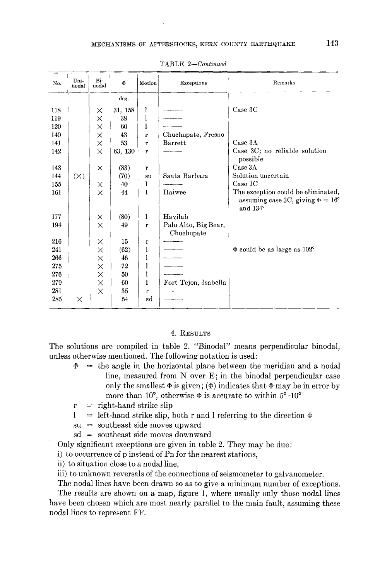| No. | Uni-<br>nodal | Bi-<br>nodal | Ф       | Motion       | Exceptions                         | Remarks                                                                                        |
|-----|---------------|--------------|---------|--------------|------------------------------------|------------------------------------------------------------------------------------------------|
|     |               |              | deg.    |              |                                    |                                                                                                |
| 118 |               | $\times$     | 31, 158 | 1            |                                    | Case 3C                                                                                        |
| 119 |               | X            | 38      | 1            |                                    |                                                                                                |
| 120 |               | X            | 60      | ŀ            |                                    |                                                                                                |
| 140 |               | $\times$     | 43      | r            | Chuchupate, Fresno                 |                                                                                                |
| 141 |               | $\times$     | 53      | $\mathbf{r}$ | <b>Barrett</b>                     | Case 3A                                                                                        |
| 142 |               | $\times$     | 63, 130 | r            |                                    | Case 3C; no reliable solution<br>possible                                                      |
| 143 |               | X            | (83)    | $\mathbf{r}$ |                                    | Case 3A                                                                                        |
| 144 | (X)           |              | (70)    | su           | Santa Barbara                      | Solution uncertain                                                                             |
| 155 |               | ×            | 40      | 1            |                                    | Case 1C                                                                                        |
| 161 |               | $\times$     | 44      | 1            | Haiwee                             | The exception could be eliminated,<br>assuming case 3C, giving $\Phi = 16^{\circ}$<br>and 134° |
| 177 |               | ×            | (80)    | 1            | Havilah                            |                                                                                                |
| 194 |               | $\times$     | 49      | $\mathbf{r}$ | Palo Alto, Big Bear,<br>Chuchupate |                                                                                                |
| 216 |               | ×            | 15      | r            |                                    |                                                                                                |
| 241 |               | $\times$     | (62)    | 1            |                                    | $\Phi$ could be as large as 102°                                                               |
| 266 |               | X            | 46      | l            |                                    |                                                                                                |
| 275 |               | $\times$     | 72      | 1            |                                    |                                                                                                |
| 276 |               | $\times$     | 50      | l            |                                    |                                                                                                |
| 279 |               | $\times$     | 60      | 1            | Fort Tejon, Isabella               |                                                                                                |
| 281 |               | $\times$     | 35      | $\mathbf{r}$ |                                    |                                                                                                |
| 285 | ×             |              | 54      | sd           |                                    |                                                                                                |

TABLE *2--Continued* 

### 4. RESULTS

The solutions are compiled in table 2. "Binodal" means perpendicular binodal, unless otherwise mentioned. The following notation is used:

 $\Phi$  = the angle in the horizontal plane between the meridian and a nodal line, measured from N over E; in the binodal perpendicular case only the smallest  $\Phi$  is given;  $(\Phi)$  indicates that  $\Phi$  may be in error by more than 10°, otherwise  $\Phi$  is accurate to within 5°-10°

 $r = right$ -hand strike slip

- $1 = left$ -hand strike slip, both r and l referring to the direction  $\Phi$
- $su =$  southeast side moves upward
- sd = southeast side moves downward

Only significant exceptions are given in table 2. They may be due:

i) to occurrence of p instead of Pn for the nearest stations,

ii) to situation close to a nodal line,

iii) to unknown reversals of the connections of seismometer to galvanometer.

The nodal lines have been drawn so as to give a minimum number of exceptions.

The results are shown on a map, figure 1, where usually only those nodal lines have been chosen which are most nearly parallel to the main fault, assuming these nodal lines to represent FF.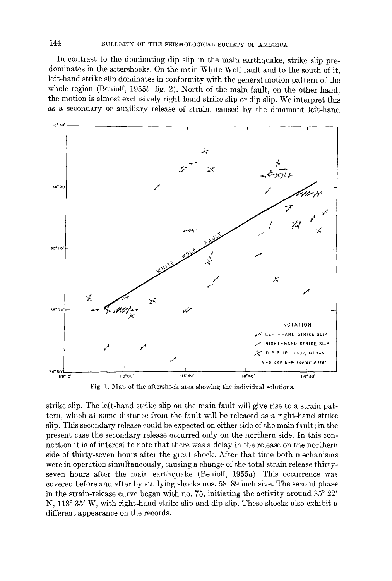# 144 BULLETIN OF THE SEISMOLOGICAL SOCIETY OF AMERICA

In contrast to the dominating dip slip in the main earthquake, strike slip predominates in the aftershocks. On the main White Wolf fault and to the south of it, left-hand strike slip dominates in conformity with the general motion pattern of the whole region (Benioff, 1955b, fig. 2). North of the main fault, on the other hand, the motion is almost exclusively right-hand strike slip or dip slip. We interpret this as a secondary or auxiliary release of strain, caused by the dominant left-hand



Fig. 1. Map of the aftershock area showing the individual solutions.

strike slip. The left-hand strike slip on the main fault will give rise to a strain pattern, which at some distance from the fault will be released as a right-hand strike slip. This secondary release could be expected on either side of the main fault; in the present case the secondary release occurred only on the northern side. In this connection it is of interest to note that there was a delay in the release on the northern side of thirty-seven hours after the great shock. After that time both mechanisms were in operation simultaneously, causing a change of the total strain release thirtyseven hours after the main earthquake (Benioff,  $1955a$ ). This occurrence was covered before and after by studying shocks nos. 58-89 inclusive. The second phase in the strain-release curve began with no. 75, initiating the activity around  $35^{\circ}$   $22'$ N, 118° 35' W, with right-hand strike slip and dip slip. These shocks also exhibit a different appearance on the records.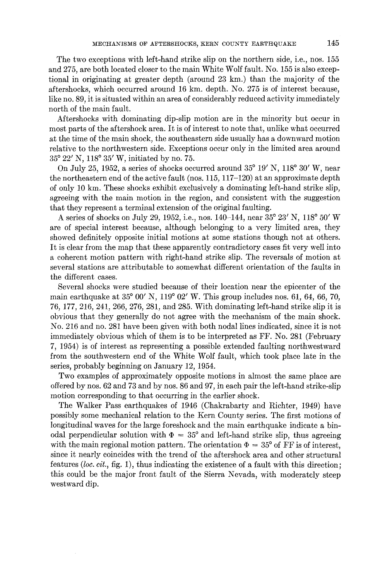The two exceptions with left-hand strike slip on the northern side, i.e., nos. 155 and 275, are both located closer to the main White Wolf fault. No. 155 is also exceptional in originating at greater depth (around 23 km.) than the majority of the aftershocks, which occurred around 16 km. depth. No. 275 is of interest because, like no. 89, it is situated within an area of considerably reduced activity immediately north of the main fault.

Aftershocks with dominating dip-slip motion are in the minority but occur in most parts of the aftershock area. It is of interest to note that, unlike what occurred at the time of the main shock, the southeastern side usually has a downward motion relative to the northwestern side. Exceptions occur only in the limited area around  $35^{\circ}$  22' N, 118 $^{\circ}$  35' W, initiated by no. 75.

On July 25, 1952, a series of shocks occurred around  $35^{\circ}$  19' N, 118° 30' W, near the northeastern end of the active fault (nos. 115, 117-120) at an approximate depth of only 10 kin. These shocks exhibit exclusively a dominating left-hand strike slip, agreeing with the main motion in the region, and consistent with the suggestion that they represent a terminal extension of the original faulting.

A series of shocks on July 29, 1952, i.e., nos. 140–144, near  $35^{\circ}$  23' N, 118° 50' W are of special interest because, although belonging to a very limited area, they showed definitely opposite initial motions at some stations though not at others. It is clear from the map that these apparently contradictory cases fit very well into a coherent motion pattern with right-hand strike slip. The reversals of motion at several stations are attributable to somewhat different orientation of the faults in the different cases.

Several shocks were studied because of their location near the epicenter of the main earthquake at  $35^{\circ}$  00' N,  $119^{\circ}$  02' W. This group includes nos. 61, 64, 66, 70, 76, 177, 216, 241,266, 276, 281, and 285. With dominating left-hand strike slip it is obvious that they generally do not agree with the mechanism of the main shock. No. 216 and no. 281 have been given with both nodal lines indicated, since it is not immediately obvious which of them is to be interpreted as FF. No. 281 (February 7, 1954) is of interest as representing a possible extended faulting northwestward from the southwestern end of the White Wolf fault, which took place late in the series, probably beginning on January 12, 1954.

Two examples of approximately opposite motions in almost the same place are offered by nos. 62 and 73 and by nos. 86 and 97, in each pair the left-hand strike-slip motion corresponding to that occurring in the earlier shock.

The Walker Pass earthquakes of 1946 (Chakrabarty and Richter, 1949) have possibly some mechanical relation to the Kern County series. The first motions of longitudinal waves for the large foreshock and the main earthquake indicate a binodal perpendicular solution with  $\Phi = 35^{\circ}$  and left-hand strike slip, thus agreeing with the main regional motion pattern. The orientation  $\Phi = 35^{\circ}$  of FF is of interest, since it nearly coincides with the trend of the aftershock area and other structural features *(loc. cit.,* fig. 1), thus indicating the existence of a fault with this direction; this could be the major front fault of the Sierra Nevada, with moderately steep westward dip.